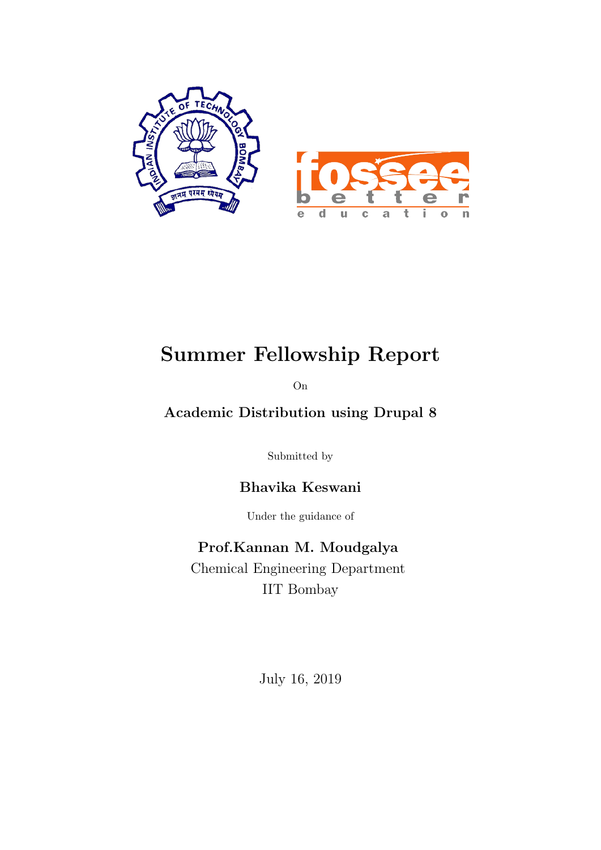

# Summer Fellowship Report

On

## Academic Distribution using Drupal 8

Submitted by

Bhavika Keswani

Under the guidance of

Prof.Kannan M. Moudgalya Chemical Engineering Department IIT Bombay

July 16, 2019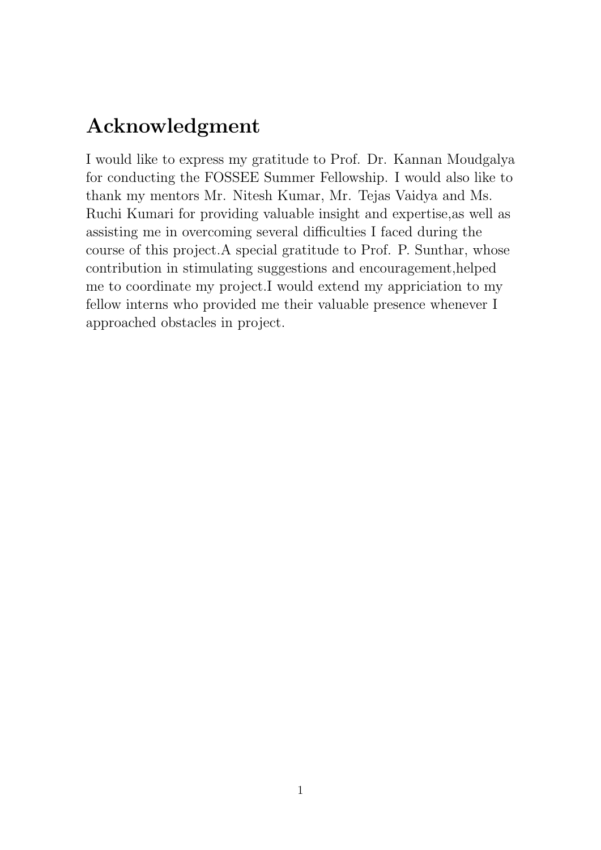## Acknowledgment

I would like to express my gratitude to Prof. Dr. Kannan Moudgalya for conducting the FOSSEE Summer Fellowship. I would also like to thank my mentors Mr. Nitesh Kumar, Mr. Tejas Vaidya and Ms. Ruchi Kumari for providing valuable insight and expertise,as well as assisting me in overcoming several difficulties I faced during the course of this project.A special gratitude to Prof. P. Sunthar, whose contribution in stimulating suggestions and encouragement,helped me to coordinate my project.I would extend my appriciation to my fellow interns who provided me their valuable presence whenever I approached obstacles in project.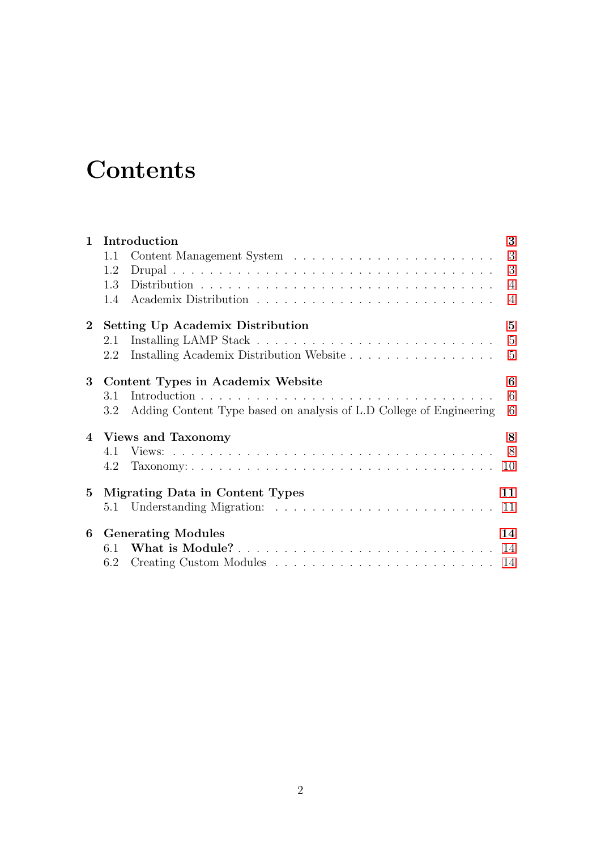# **Contents**

| Introduction<br>$\mathbf{1}$ |                                              |                                                                     | 3              |
|------------------------------|----------------------------------------------|---------------------------------------------------------------------|----------------|
|                              | 1.1                                          |                                                                     | 3              |
|                              | 1.2                                          |                                                                     | 3              |
|                              | 1.3                                          |                                                                     | $\overline{4}$ |
|                              | 1.4                                          |                                                                     | $\overline{4}$ |
| $2^{\circ}$                  | <b>Setting Up Academix Distribution</b><br>5 |                                                                     |                |
|                              | 2.1                                          |                                                                     | $\overline{5}$ |
|                              | 2.2                                          | Installing Academix Distribution Website                            | $\overline{5}$ |
| 3                            |                                              | Content Types in Academix Website                                   | 6              |
|                              | 3.1                                          |                                                                     | 6              |
|                              | 3.2                                          | Adding Content Type based on analysis of L.D College of Engineering | 6              |
|                              | 4 Views and Taxonomy<br>8                    |                                                                     |                |
|                              | 4.1                                          |                                                                     | 8              |
|                              | 4.2                                          |                                                                     | 10             |
| 5                            | Migrating Data in Content Types              |                                                                     | 11             |
|                              |                                              |                                                                     | 11             |
| 6                            | <b>Generating Modules</b><br>14              |                                                                     |                |
|                              | 6.1                                          |                                                                     | 14             |
|                              | 6.2                                          |                                                                     | 14             |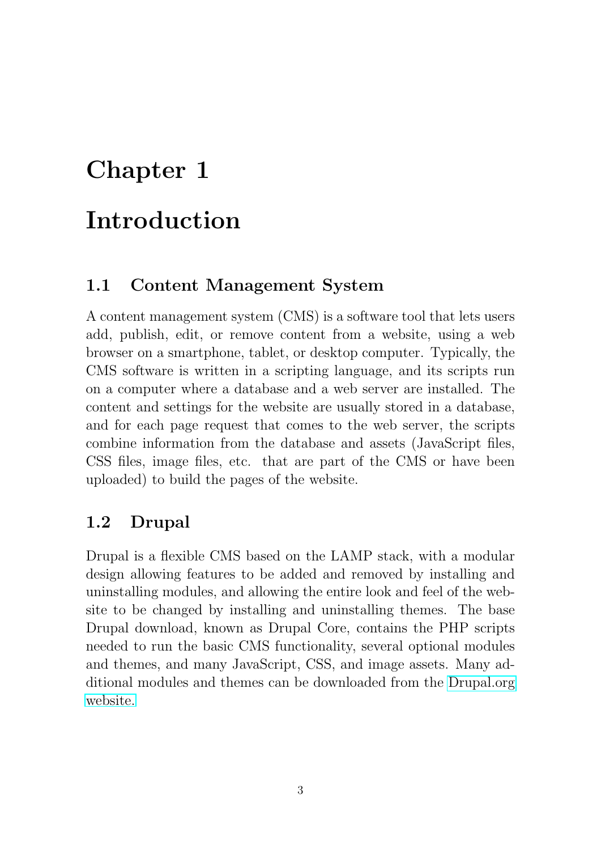# <span id="page-3-0"></span>Introduction

## <span id="page-3-1"></span>1.1 Content Management System

A content management system (CMS) is a software tool that lets users add, publish, edit, or remove content from a website, using a web browser on a smartphone, tablet, or desktop computer. Typically, the CMS software is written in a scripting language, and its scripts run on a computer where a database and a web server are installed. The content and settings for the website are usually stored in a database, and for each page request that comes to the web server, the scripts combine information from the database and assets (JavaScript files, CSS files, image files, etc. that are part of the CMS or have been uploaded) to build the pages of the website.

## <span id="page-3-2"></span>1.2 Drupal

Drupal is a flexible CMS based on the LAMP stack, with a modular design allowing features to be added and removed by installing and uninstalling modules, and allowing the entire look and feel of the website to be changed by installing and uninstalling themes. The base Drupal download, known as Drupal Core, contains the PHP scripts needed to run the basic CMS functionality, several optional modules and themes, and many JavaScript, CSS, and image assets. Many additional modules and themes can be downloaded from the [Drupal.org](https://www.drupal.org/) [website.](https://www.drupal.org/)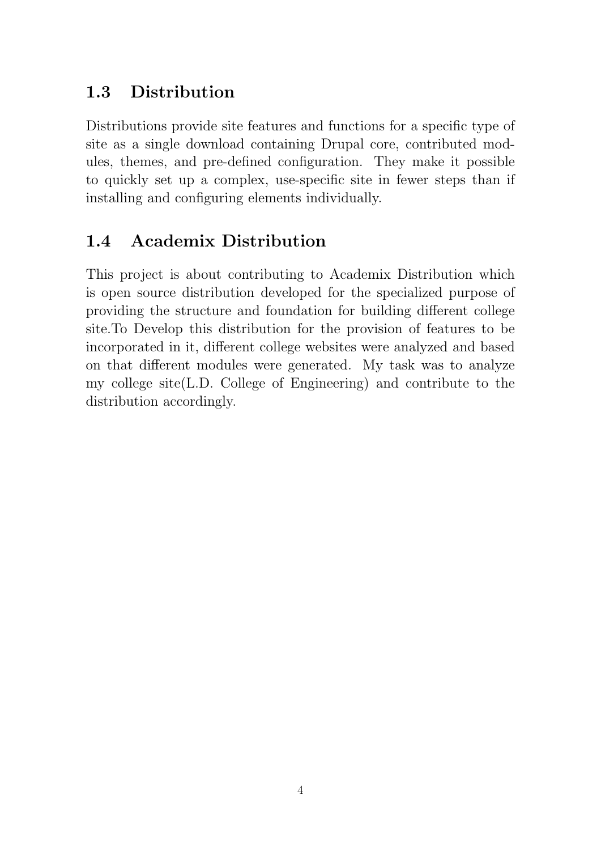## <span id="page-4-0"></span>1.3 Distribution

Distributions provide site features and functions for a specific type of site as a single download containing Drupal core, contributed modules, themes, and pre-defined configuration. They make it possible to quickly set up a complex, use-specific site in fewer steps than if installing and configuring elements individually.

## <span id="page-4-1"></span>1.4 Academix Distribution

This project is about contributing to Academix Distribution which is open source distribution developed for the specialized purpose of providing the structure and foundation for building different college site.To Develop this distribution for the provision of features to be incorporated in it, different college websites were analyzed and based on that different modules were generated. My task was to analyze my college site(L.D. College of Engineering) and contribute to the distribution accordingly.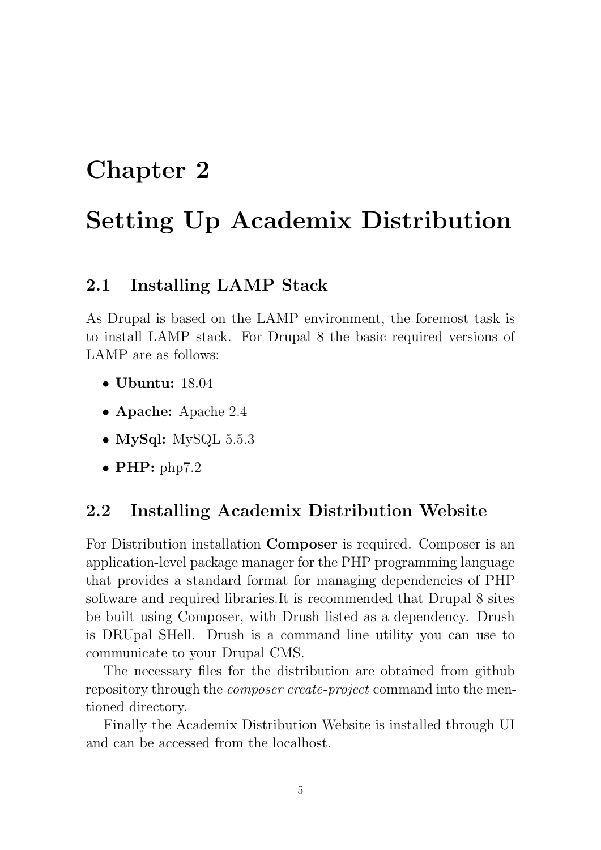# <span id="page-5-0"></span>Setting Up Academix Distribution

#### <span id="page-5-1"></span>2.1 Installing LAMP Stack

As Drupal is based on the LAMP environment, the foremost task is to install LAMP stack. For Drupal 8 the basic required versions of LAMP are as follows:

- Ubuntu: 18.04
- Apache: Apache 2.4
- MySql: MySQL 5.5.3
- PHP:  $php7.2$

#### <span id="page-5-2"></span>2.2 Installing Academix Distribution Website

For Distribution installation Composer is required. Composer is an application-level package manager for the PHP programming language that provides a standard format for managing dependencies of PHP software and required libraries.It is recommended that Drupal 8 sites be built using Composer, with Drush listed as a dependency. Drush is DRUpal SHell. Drush is a command line utility you can use to communicate to your Drupal CMS.

The necessary files for the distribution are obtained from github repository through the *composer create-project* command into the mentioned directory.

Finally the Academix Distribution Website is installed through UI and can be accessed from the localhost.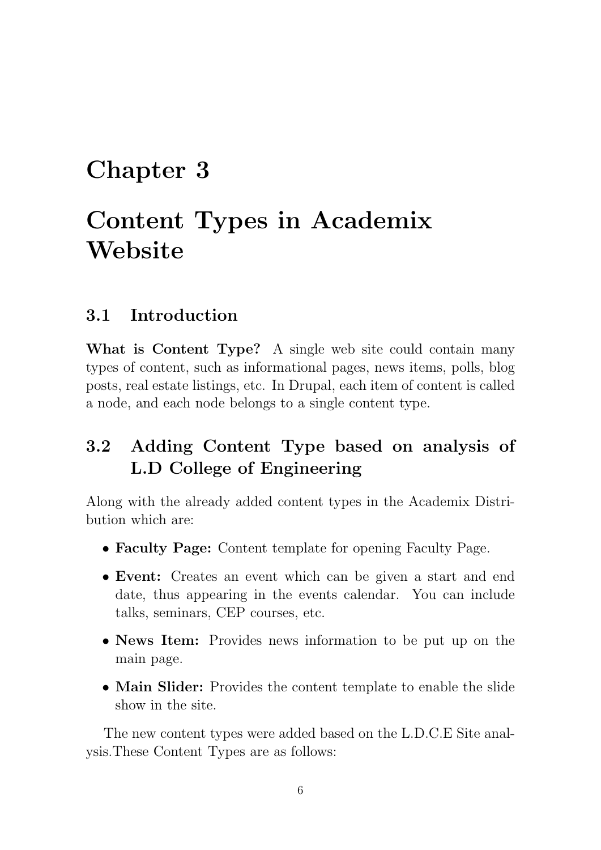# <span id="page-6-0"></span>Content Types in Academix **Website**

## <span id="page-6-1"></span>3.1 Introduction

What is Content Type? A single web site could contain many types of content, such as informational pages, news items, polls, blog posts, real estate listings, etc. In Drupal, each item of content is called a node, and each node belongs to a single content type.

## <span id="page-6-2"></span>3.2 Adding Content Type based on analysis of L.D College of Engineering

Along with the already added content types in the Academix Distribution which are:

- Faculty Page: Content template for opening Faculty Page.
- Event: Creates an event which can be given a start and end date, thus appearing in the events calendar. You can include talks, seminars, CEP courses, etc.
- News Item: Provides news information to be put up on the main page.
- Main Slider: Provides the content template to enable the slide show in the site.

The new content types were added based on the L.D.C.E Site analysis.These Content Types are as follows: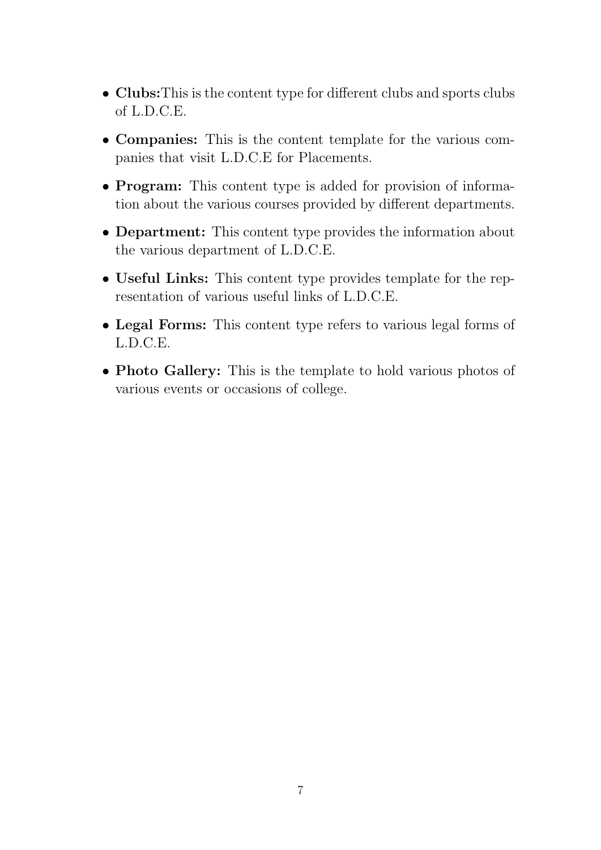- Clubs:This is the content type for different clubs and sports clubs of L.D.C.E.
- Companies: This is the content template for the various companies that visit L.D.C.E for Placements.
- **Program:** This content type is added for provision of information about the various courses provided by different departments.
- Department: This content type provides the information about the various department of L.D.C.E.
- Useful Links: This content type provides template for the representation of various useful links of L.D.C.E.
- Legal Forms: This content type refers to various legal forms of L.D.C.E.
- Photo Gallery: This is the template to hold various photos of various events or occasions of college.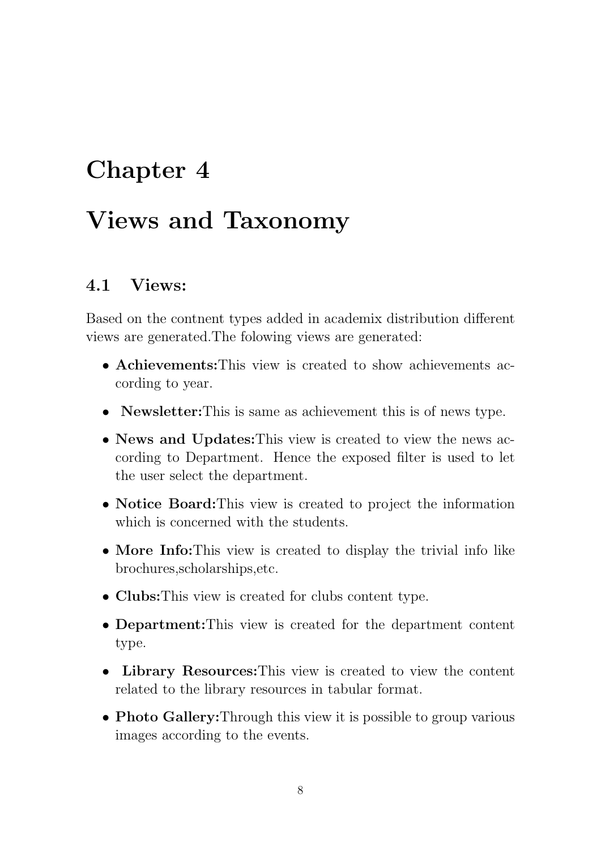## <span id="page-8-0"></span>Views and Taxonomy

#### <span id="page-8-1"></span>4.1 Views:

Based on the contnent types added in academix distribution different views are generated.The folowing views are generated:

- Achievements: This view is created to show achievements according to year.
- **Newsletter:** This is same as achievement this is of news type.
- News and Updates: This view is created to view the news according to Department. Hence the exposed filter is used to let the user select the department.
- Notice Board: This view is created to project the information which is concerned with the students.
- More Info: This view is created to display the trivial info like brochures,scholarships,etc.
- Clubs: This view is created for clubs content type.
- Department:This view is created for the department content type.
- Library Resources: This view is created to view the content related to the library resources in tabular format.
- Photo Gallery: Through this view it is possible to group various images according to the events.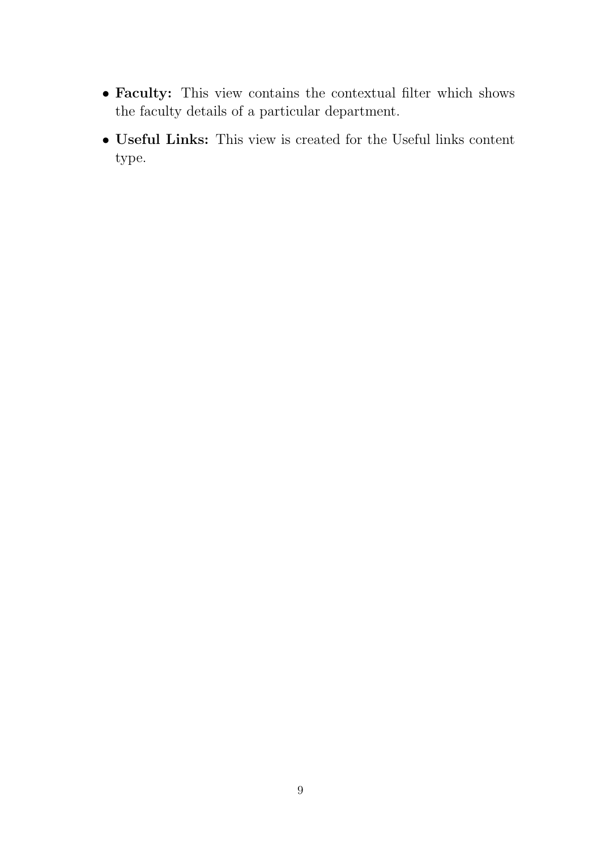- Faculty: This view contains the contextual filter which shows the faculty details of a particular department.
- Useful Links: This view is created for the Useful links content type.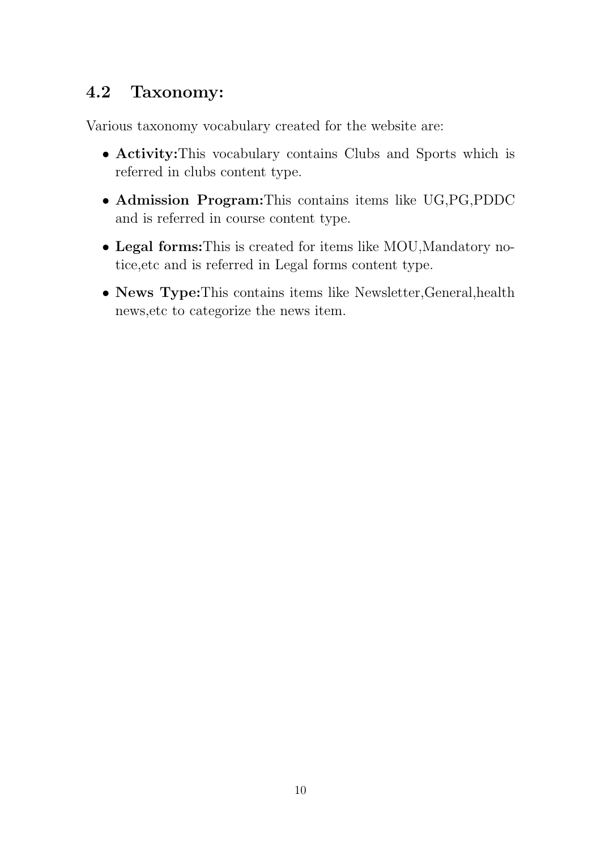## <span id="page-10-0"></span>4.2 Taxonomy:

Various taxonomy vocabulary created for the website are:

- Activity:This vocabulary contains Clubs and Sports which is referred in clubs content type.
- Admission Program:This contains items like UG,PG,PDDC and is referred in course content type.
- Legal forms:This is created for items like MOU,Mandatory notice,etc and is referred in Legal forms content type.
- News Type: This contains items like Newsletter, General, health news,etc to categorize the news item.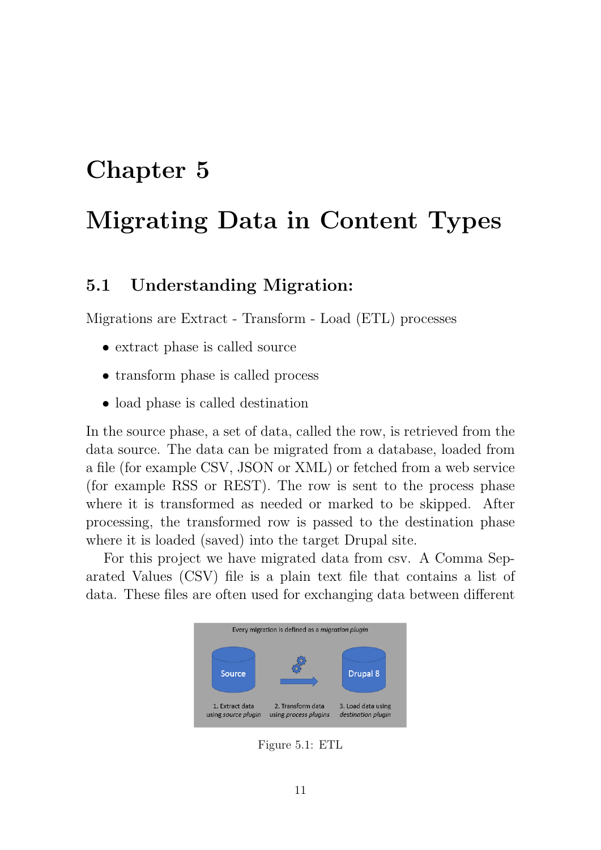# <span id="page-11-0"></span>Migrating Data in Content Types

## <span id="page-11-1"></span>5.1 Understanding Migration:

Migrations are Extract - Transform - Load (ETL) processes

- extract phase is called source
- transform phase is called process
- load phase is called destination

In the source phase, a set of data, called the row, is retrieved from the data source. The data can be migrated from a database, loaded from a file (for example CSV, JSON or XML) or fetched from a web service (for example RSS or REST). The row is sent to the process phase where it is transformed as needed or marked to be skipped. After processing, the transformed row is passed to the destination phase where it is loaded (saved) into the target Drupal site.

For this project we have migrated data from csv. A Comma Separated Values (CSV) file is a plain text file that contains a list of data. These files are often used for exchanging data between different



Figure 5.1: ETL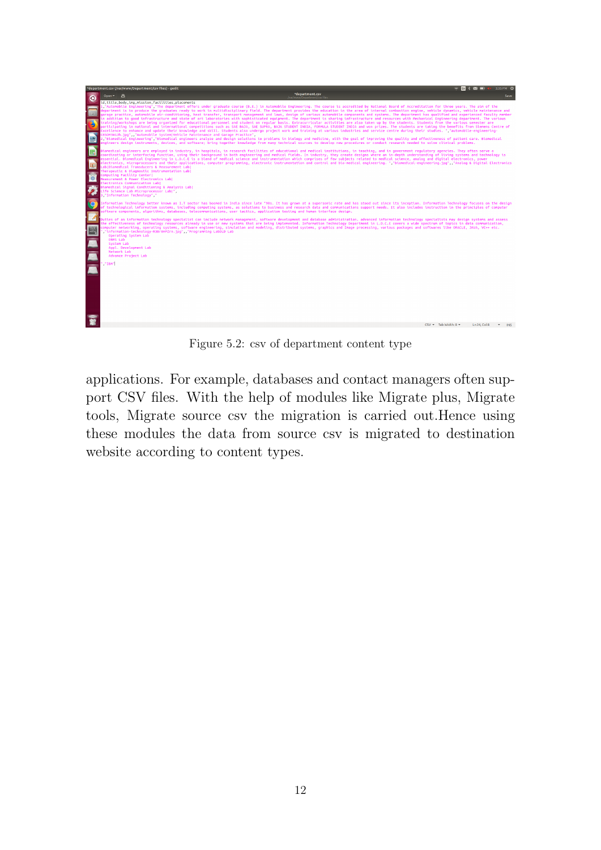

Figure 5.2: csv of department content type

applications. For example, databases and contact managers often support CSV files. With the help of modules like Migrate plus, Migrate tools, Migrate source csv the migration is carried out.Hence using these modules the data from source csv is migrated to destination website according to content types.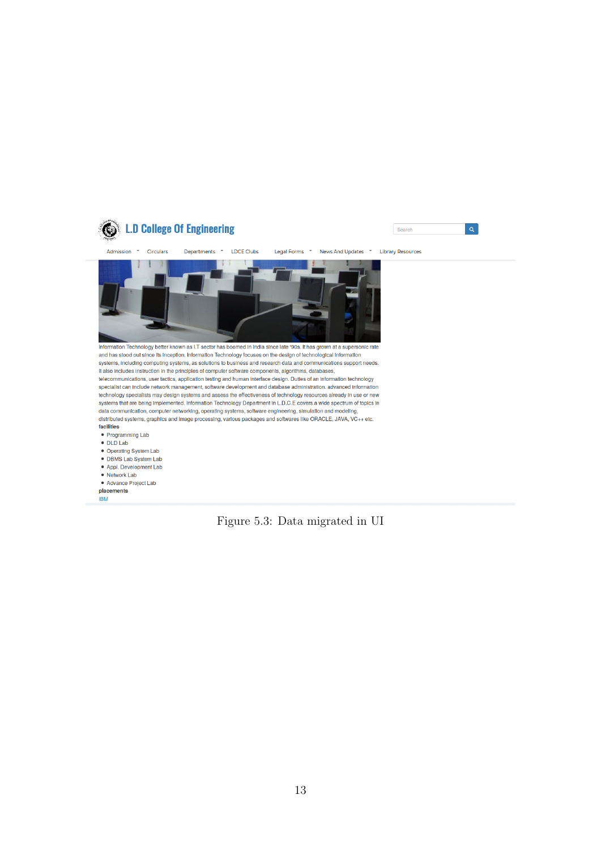

#### Figure 5.3: Data migrated in UI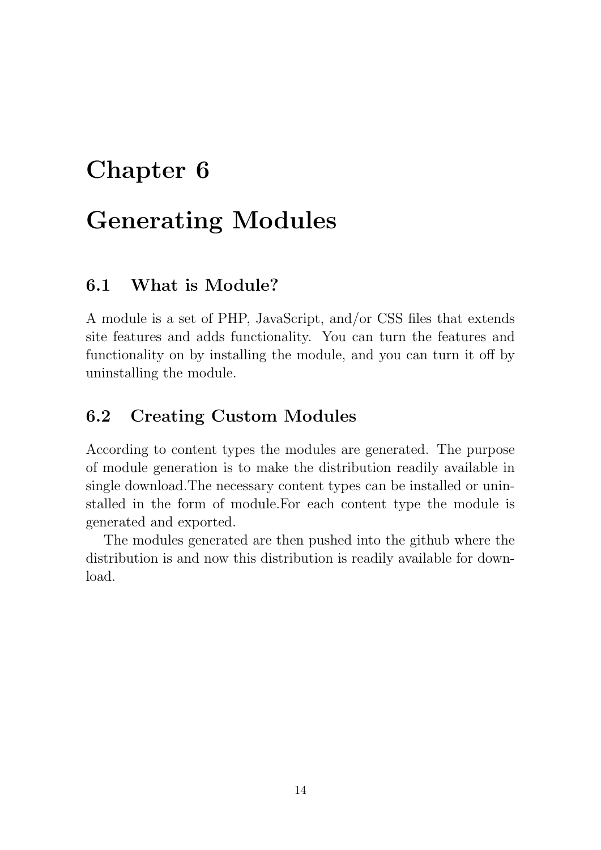# <span id="page-14-0"></span>Generating Modules

## <span id="page-14-1"></span>6.1 What is Module?

A module is a set of PHP, JavaScript, and/or CSS files that extends site features and adds functionality. You can turn the features and functionality on by installing the module, and you can turn it off by uninstalling the module.

#### <span id="page-14-2"></span>6.2 Creating Custom Modules

According to content types the modules are generated. The purpose of module generation is to make the distribution readily available in single download.The necessary content types can be installed or uninstalled in the form of module.For each content type the module is generated and exported.

The modules generated are then pushed into the github where the distribution is and now this distribution is readily available for download.